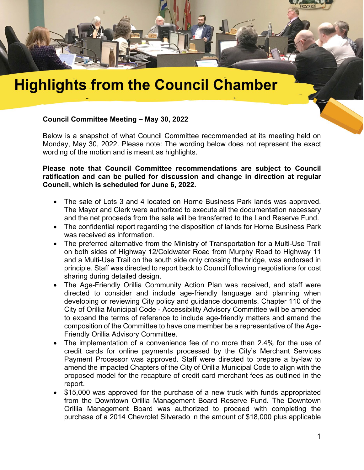

## **Highlights from the Council Chamber**

## **Council Committee Meeting – May 30, 2022**

Below is a snapshot of what Council Committee recommended at its meeting held on Monday, May 30, 2022. Please note: The wording below does not represent the exact wording of the motion and is meant as highlights.

**Please note that Council Committee recommendations are subject to Council ratification and can be pulled for discussion and change in direction at regular Council, which is scheduled for June 6, 2022.**

- The sale of Lots 3 and 4 located on Horne Business Park lands was approved. The Mayor and Clerk were authorized to execute all the documentation necessary and the net proceeds from the sale will be transferred to the Land Reserve Fund.
- The confidential report regarding the disposition of lands for Horne Business Park was received as information.
- The preferred alternative from the Ministry of Transportation for a Multi-Use Trail on both sides of Highway 12/Coldwater Road from Murphy Road to Highway 11 and a Multi-Use Trail on the south side only crossing the bridge, was endorsed in principle. Staff was directed to report back to Council following negotiations for cost sharing during detailed design.
- The Age-Friendly Orillia Community Action Plan was received, and staff were directed to consider and include age-friendly language and planning when developing or reviewing City policy and guidance documents. Chapter 110 of the City of Orillia Municipal Code - Accessibility Advisory Committee will be amended to expand the terms of reference to include age-friendly matters and amend the composition of the Committee to have one member be a representative of the Age-Friendly Orillia Advisory Committee.
- The implementation of a convenience fee of no more than 2.4% for the use of credit cards for online payments processed by the City's Merchant Services Payment Processor was approved. Staff were directed to prepare a by-law to amend the impacted Chapters of the City of Orillia Municipal Code to align with the proposed model for the recapture of credit card merchant fees as outlined in the report.
- \$15,000 was approved for the purchase of a new truck with funds appropriated from the Downtown Orillia Management Board Reserve Fund. The Downtown Orillia Management Board was authorized to proceed with completing the purchase of a 2014 Chevrolet Silverado in the amount of \$18,000 plus applicable